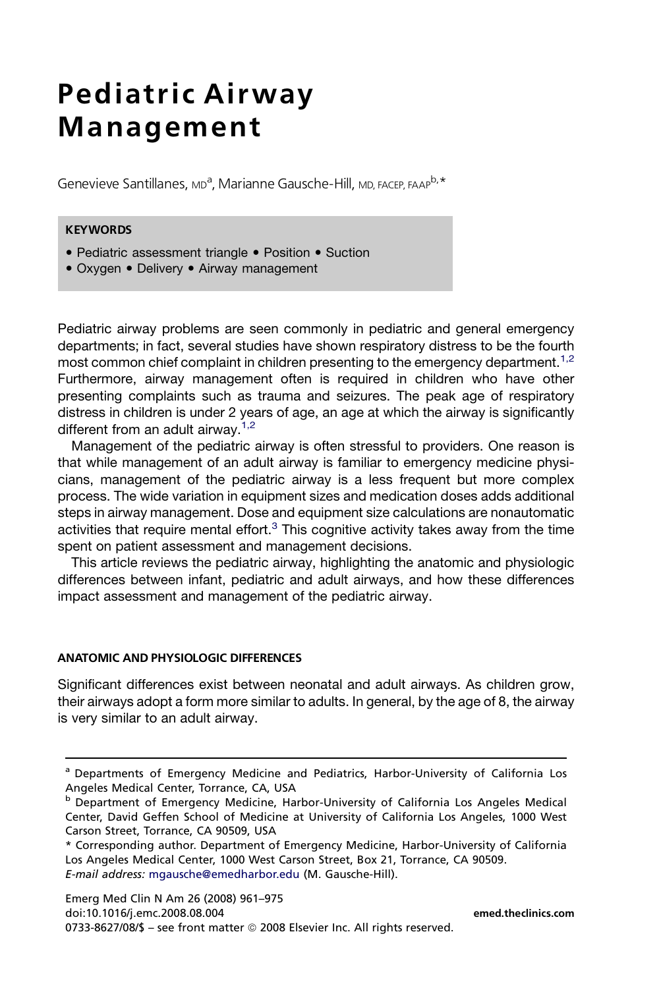# Pediatric Airway Management

Genevieve Santillanes, MD<sup>a</sup>, Marianne Gausche-Hill, MD, FACEP, FAAP<sup>b, \*</sup>

# **KEYWORDS**

- Pediatric assessment triangle Position Suction
- Oxygen Delivery Airway management

Pediatric airway problems are seen commonly in pediatric and general emergency departments; in fact, several studies have shown respiratory distress to be the fourth most common chief complaint in children presenting to the emergency department.<sup>[1,2](#page-12-0)</sup> Furthermore, airway management often is required in children who have other presenting complaints such as trauma and seizures. The peak age of respiratory distress in children is under 2 years of age, an age at which the airway is significantly different from an adult airway.<sup>[1,2](#page-12-0)</sup>

Management of the pediatric airway is often stressful to providers. One reason is that while management of an adult airway is familiar to emergency medicine physicians, management of the pediatric airway is a less frequent but more complex process. The wide variation in equipment sizes and medication doses adds additional steps in airway management. Dose and equipment size calculations are nonautomatic activities that require mental effort. $3$  This cognitive activity takes away from the time spent on patient assessment and management decisions.

This article reviews the pediatric airway, highlighting the anatomic and physiologic differences between infant, pediatric and adult airways, and how these differences impact assessment and management of the pediatric airway.

#### ANATOMIC AND PHYSIOLOGIC DIFFERENCES

Significant differences exist between neonatal and adult airways. As children grow, their airways adopt a form more similar to adults. In general, by the age of 8, the airway is very similar to an adult airway.

<sup>&</sup>lt;sup>a</sup> Departments of Emergency Medicine and Pediatrics, Harbor-University of California Los Angeles Medical Center, Torrance, CA, USA

**b** Department of Emergency Medicine, Harbor-University of California Los Angeles Medical Center, David Geffen School of Medicine at University of California Los Angeles, 1000 West Carson Street, Torrance, CA 90509, USA

<sup>\*</sup> Corresponding author. Department of Emergency Medicine, Harbor-University of California Los Angeles Medical Center, 1000 West Carson Street, Box 21, Torrance, CA 90509. E-mail address: [mgausche@emedharbor.edu](mailto:mgausche@emedharbor.edu) (M. Gausche-Hill).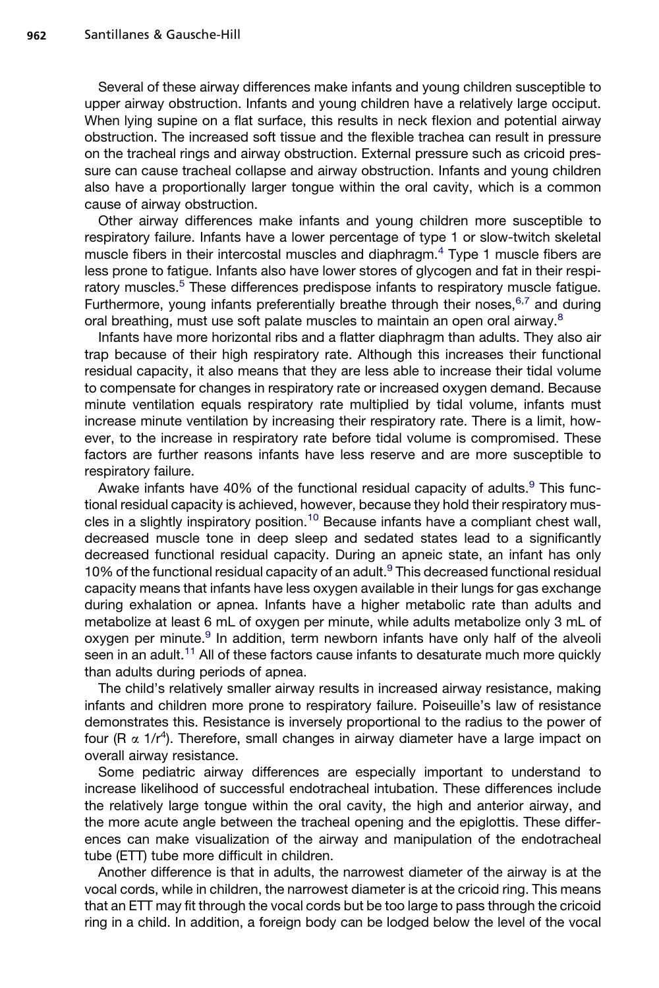Several of these airway differences make infants and young children susceptible to upper airway obstruction. Infants and young children have a relatively large occiput. When lying supine on a flat surface, this results in neck flexion and potential airway obstruction. The increased soft tissue and the flexible trachea can result in pressure on the tracheal rings and airway obstruction. External pressure such as cricoid pressure can cause tracheal collapse and airway obstruction. Infants and young children also have a proportionally larger tongue within the oral cavity, which is a common cause of airway obstruction.

Other airway differences make infants and young children more susceptible to respiratory failure. Infants have a lower percentage of type 1 or slow-twitch skeletal muscle fibers in their intercostal muscles and diaphragm.[4](#page-13-0) Type 1 muscle fibers are less prone to fatigue. Infants also have lower stores of glycogen and fat in their respiratory muscles.<sup>5</sup> These differences predispose infants to respiratory muscle fatigue. Furthermore, young infants preferentially breathe through their noses,  $6,7$  and during oral breathing, must use soft palate muscles to maintain an open oral airway.<sup>[8](#page-13-0)</sup>

Infants have more horizontal ribs and a flatter diaphragm than adults. They also air trap because of their high respiratory rate. Although this increases their functional residual capacity, it also means that they are less able to increase their tidal volume to compensate for changes in respiratory rate or increased oxygen demand. Because minute ventilation equals respiratory rate multiplied by tidal volume, infants must increase minute ventilation by increasing their respiratory rate. There is a limit, however, to the increase in respiratory rate before tidal volume is compromised. These factors are further reasons infants have less reserve and are more susceptible to respiratory failure.

Awake infants have 40% of the functional residual capacity of adults.<sup>[9](#page-13-0)</sup> This functional residual capacity is achieved, however, because they hold their respiratory mus-cles in a slightly inspiratory position.<sup>[10](#page-13-0)</sup> Because infants have a compliant chest wall, decreased muscle tone in deep sleep and sedated states lead to a significantly decreased functional residual capacity. During an apneic state, an infant has only 10% of the functional residual capacity of an adult.<sup>[9](#page-13-0)</sup> This decreased functional residual capacity means that infants have less oxygen available in their lungs for gas exchange during exhalation or apnea. Infants have a higher metabolic rate than adults and metabolize at least 6 mL of oxygen per minute, while adults metabolize only 3 mL of oxygen per minute.<sup>9</sup> In addition, term newborn infants have only half of the alveoli seen in an adult.<sup>[11](#page-13-0)</sup> All of these factors cause infants to desaturate much more quickly than adults during periods of apnea.

The child's relatively smaller airway results in increased airway resistance, making infants and children more prone to respiratory failure. Poiseuille's law of resistance demonstrates this. Resistance is inversely proportional to the radius to the power of four (R  $\alpha$  1/r<sup>4</sup>). Therefore, small changes in airway diameter have a large impact on overall airway resistance.

Some pediatric airway differences are especially important to understand to increase likelihood of successful endotracheal intubation. These differences include the relatively large tongue within the oral cavity, the high and anterior airway, and the more acute angle between the tracheal opening and the epiglottis. These differences can make visualization of the airway and manipulation of the endotracheal tube (ETT) tube more difficult in children.

Another difference is that in adults, the narrowest diameter of the airway is at the vocal cords, while in children, the narrowest diameter is at the cricoid ring. This means that an ETT may fit through the vocal cords but be too large to pass through the cricoid ring in a child. In addition, a foreign body can be lodged below the level of the vocal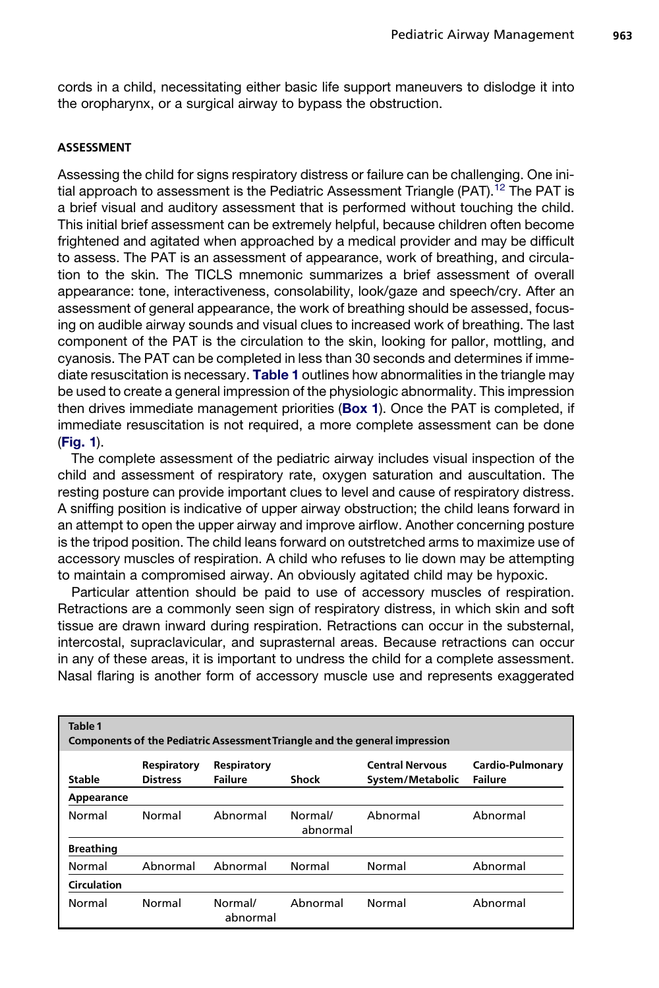cords in a child, necessitating either basic life support maneuvers to dislodge it into the oropharynx, or a surgical airway to bypass the obstruction.

#### ASSESSMENT

Assessing the child for signs respiratory distress or failure can be challenging. One initial approach to assessment is the Pediatric Assessment Triangle  $(PAT)$ <sup>[12](#page-13-0)</sup> The PAT is a brief visual and auditory assessment that is performed without touching the child. This initial brief assessment can be extremely helpful, because children often become frightened and agitated when approached by a medical provider and may be difficult to assess. The PAT is an assessment of appearance, work of breathing, and circulation to the skin. The TICLS mnemonic summarizes a brief assessment of overall appearance: tone, interactiveness, consolability, look/gaze and speech/cry. After an assessment of general appearance, the work of breathing should be assessed, focusing on audible airway sounds and visual clues to increased work of breathing. The last component of the PAT is the circulation to the skin, looking for pallor, mottling, and cyanosis. The PAT can be completed in less than 30 seconds and determines if immediate resuscitation is necessary. Table 1 outlines how abnormalities in the triangle may be used to create a general impression of the physiologic abnormality. This impression then drives immediate management priorities ( $Box 1$ ). Once the PAT is completed, if immediate resuscitation is not required, a more complete assessment can be done ([Fig. 1](#page-4-0)).

The complete assessment of the pediatric airway includes visual inspection of the child and assessment of respiratory rate, oxygen saturation and auscultation. The resting posture can provide important clues to level and cause of respiratory distress. A sniffing position is indicative of upper airway obstruction; the child leans forward in an attempt to open the upper airway and improve airflow. Another concerning posture is the tripod position. The child leans forward on outstretched arms to maximize use of accessory muscles of respiration. A child who refuses to lie down may be attempting to maintain a compromised airway. An obviously agitated child may be hypoxic.

Particular attention should be paid to use of accessory muscles of respiration. Retractions are a commonly seen sign of respiratory distress, in which skin and soft tissue are drawn inward during respiration. Retractions can occur in the substernal, intercostal, supraclavicular, and suprasternal areas. Because retractions can occur in any of these areas, it is important to undress the child for a complete assessment. Nasal flaring is another form of accessory muscle use and represents exaggerated

| Table 1<br><b>Components of the Pediatric Assessment Triangle and the general impression</b> |                                |                               |                     |                                            |                                           |  |  |
|----------------------------------------------------------------------------------------------|--------------------------------|-------------------------------|---------------------|--------------------------------------------|-------------------------------------------|--|--|
| Stable                                                                                       | Respiratory<br><b>Distress</b> | Respiratory<br><b>Failure</b> | Shock               | <b>Central Nervous</b><br>System/Metabolic | <b>Cardio-Pulmonary</b><br><b>Failure</b> |  |  |
| Appearance                                                                                   |                                |                               |                     |                                            |                                           |  |  |
| Normal                                                                                       | Normal                         | Ahnormal                      | Normal/<br>abnormal | Abnormal                                   | Ahnormal                                  |  |  |
| <b>Breathing</b>                                                                             |                                |                               |                     |                                            |                                           |  |  |
| Normal                                                                                       | Abnormal                       | Abnormal                      | Normal              | Normal                                     | Abnormal                                  |  |  |
| Circulation                                                                                  |                                |                               |                     |                                            |                                           |  |  |
| Normal                                                                                       | Normal                         | Normal/<br>abnormal           | Abnormal            | Normal                                     | Ahnormal                                  |  |  |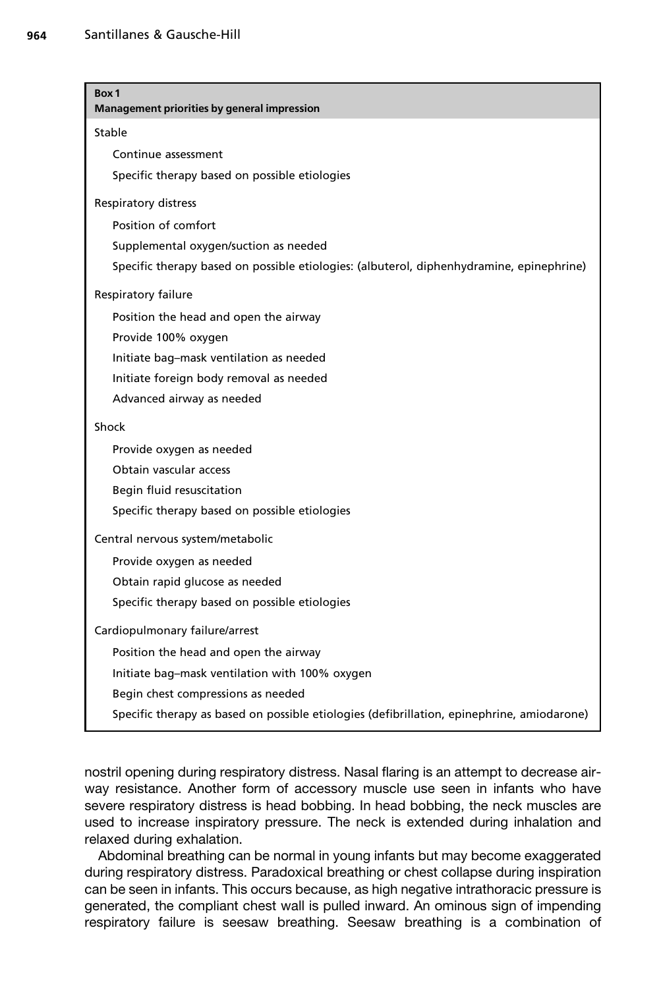<span id="page-3-0"></span>

| Box 1<br><b>Management priorities by general impression</b>                                |  |  |  |
|--------------------------------------------------------------------------------------------|--|--|--|
| Stable                                                                                     |  |  |  |
| Continue assessment                                                                        |  |  |  |
| Specific therapy based on possible etiologies                                              |  |  |  |
| Respiratory distress                                                                       |  |  |  |
| Position of comfort                                                                        |  |  |  |
| Supplemental oxygen/suction as needed                                                      |  |  |  |
| Specific therapy based on possible etiologies: (albuterol, diphenhydramine, epinephrine)   |  |  |  |
| Respiratory failure                                                                        |  |  |  |
| Position the head and open the airway                                                      |  |  |  |
| Provide 100% oxygen                                                                        |  |  |  |
| Initiate bag-mask ventilation as needed                                                    |  |  |  |
| Initiate foreign body removal as needed                                                    |  |  |  |
| Advanced airway as needed                                                                  |  |  |  |
| Shock                                                                                      |  |  |  |
| Provide oxygen as needed                                                                   |  |  |  |
| Obtain vascular access                                                                     |  |  |  |
| Begin fluid resuscitation                                                                  |  |  |  |
| Specific therapy based on possible etiologies                                              |  |  |  |
| Central nervous system/metabolic                                                           |  |  |  |
| Provide oxygen as needed                                                                   |  |  |  |
| Obtain rapid glucose as needed                                                             |  |  |  |
| Specific therapy based on possible etiologies                                              |  |  |  |
| Cardiopulmonary failure/arrest                                                             |  |  |  |
| Position the head and open the airway                                                      |  |  |  |
| Initiate bag-mask ventilation with 100% oxygen                                             |  |  |  |
| Begin chest compressions as needed                                                         |  |  |  |
| Specific therapy as based on possible etiologies (defibrillation, epinephrine, amiodarone) |  |  |  |

nostril opening during respiratory distress. Nasal flaring is an attempt to decrease airway resistance. Another form of accessory muscle use seen in infants who have severe respiratory distress is head bobbing. In head bobbing, the neck muscles are used to increase inspiratory pressure. The neck is extended during inhalation and relaxed during exhalation.

Abdominal breathing can be normal in young infants but may become exaggerated during respiratory distress. Paradoxical breathing or chest collapse during inspiration can be seen in infants. This occurs because, as high negative intrathoracic pressure is generated, the compliant chest wall is pulled inward. An ominous sign of impending respiratory failure is seesaw breathing. Seesaw breathing is a combination of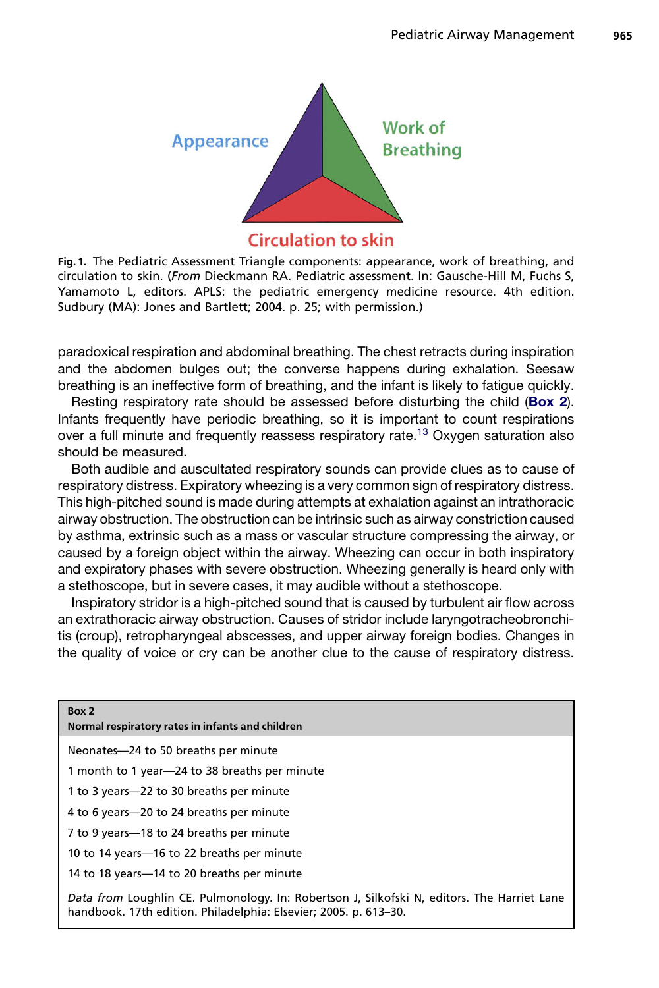<span id="page-4-0"></span>

Fig. 1. The Pediatric Assessment Triangle components: appearance, work of breathing, and circulation to skin. (From Dieckmann RA. Pediatric assessment. In: Gausche-Hill M, Fuchs S, Yamamoto L, editors. APLS: the pediatric emergency medicine resource. 4th edition. Sudbury (MA): Jones and Bartlett; 2004. p. 25; with permission.)

paradoxical respiration and abdominal breathing. The chest retracts during inspiration and the abdomen bulges out; the converse happens during exhalation. Seesaw breathing is an ineffective form of breathing, and the infant is likely to fatigue quickly.

Resting respiratory rate should be assessed before disturbing the child (Box 2). Infants frequently have periodic breathing, so it is important to count respirations over a full minute and frequently reassess respiratory rate.<sup>[13](#page-13-0)</sup> Oxygen saturation also should be measured.

Both audible and auscultated respiratory sounds can provide clues as to cause of respiratory distress. Expiratory wheezing is a very common sign of respiratory distress. This high-pitched sound is made during attempts at exhalation against an intrathoracic airway obstruction. The obstruction can be intrinsic such as airway constriction caused by asthma, extrinsic such as a mass or vascular structure compressing the airway, or caused by a foreign object within the airway. Wheezing can occur in both inspiratory and expiratory phases with severe obstruction. Wheezing generally is heard only with a stethoscope, but in severe cases, it may audible without a stethoscope.

Inspiratory stridor is a high-pitched sound that is caused by turbulent air flow across an extrathoracic airway obstruction. Causes of stridor include laryngotracheobronchitis (croup), retropharyngeal abscesses, and upper airway foreign bodies. Changes in the quality of voice or cry can be another clue to the cause of respiratory distress.

| Box 2<br>Normal respiratory rates in infants and children                                                                                                       |  |  |
|-----------------------------------------------------------------------------------------------------------------------------------------------------------------|--|--|
| Neonates-24 to 50 breaths per minute                                                                                                                            |  |  |
| 1 month to 1 year-24 to 38 breaths per minute                                                                                                                   |  |  |
| 1 to 3 years–22 to 30 breaths per minute                                                                                                                        |  |  |
| 4 to 6 years–20 to 24 breaths per minute                                                                                                                        |  |  |
| 7 to 9 years—18 to 24 breaths per minute                                                                                                                        |  |  |
| 10 to 14 years—16 to 22 breaths per minute                                                                                                                      |  |  |
| 14 to 18 years—14 to 20 breaths per minute                                                                                                                      |  |  |
| Data from Loughlin CE. Pulmonology. In: Robertson J, Silkofski N, editors. The Harriet Lane<br>handbook. 17th edition. Philadelphia: Elsevier; 2005. p. 613–30. |  |  |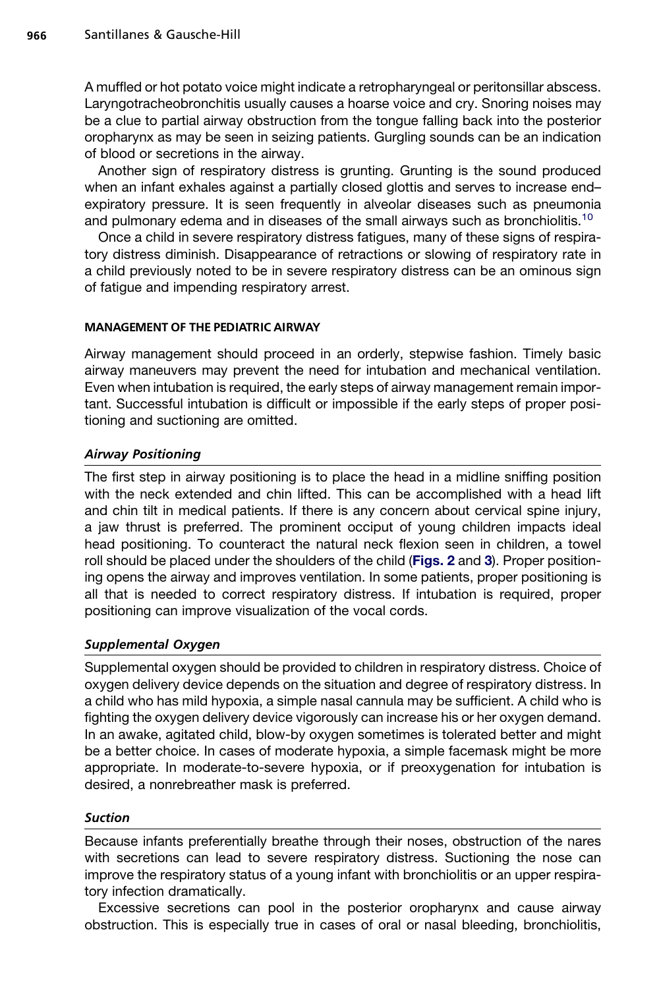A muffled or hot potato voice might indicate a retropharyngeal or peritonsillar abscess. Laryngotracheobronchitis usually causes a hoarse voice and cry. Snoring noises may be a clue to partial airway obstruction from the tongue falling back into the posterior oropharynx as may be seen in seizing patients. Gurgling sounds can be an indication of blood or secretions in the airway.

Another sign of respiratory distress is grunting. Grunting is the sound produced when an infant exhales against a partially closed glottis and serves to increase end– expiratory pressure. It is seen frequently in alveolar diseases such as pneumonia and pulmonary edema and in diseases of the small airways such as bronchiolitis.<sup>[10](#page-13-0)</sup>

Once a child in severe respiratory distress fatigues, many of these signs of respiratory distress diminish. Disappearance of retractions or slowing of respiratory rate in a child previously noted to be in severe respiratory distress can be an ominous sign of fatigue and impending respiratory arrest.

#### MANAGEMENT OF THE PEDIATRIC AIRWAY

Airway management should proceed in an orderly, stepwise fashion. Timely basic airway maneuvers may prevent the need for intubation and mechanical ventilation. Even when intubation is required, the early steps of airway management remain important. Successful intubation is difficult or impossible if the early steps of proper positioning and suctioning are omitted.

# Airway Positioning

The first step in airway positioning is to place the head in a midline sniffing position with the neck extended and chin lifted. This can be accomplished with a head lift and chin tilt in medical patients. If there is any concern about cervical spine injury, a jaw thrust is preferred. The prominent occiput of young children impacts ideal head positioning. To counteract the natural neck flexion seen in children, a towel roll should be placed under the shoulders of the child ([Figs. 2](#page-6-0) and [3](#page-6-0)). Proper positioning opens the airway and improves ventilation. In some patients, proper positioning is all that is needed to correct respiratory distress. If intubation is required, proper positioning can improve visualization of the vocal cords.

## Supplemental Oxygen

Supplemental oxygen should be provided to children in respiratory distress. Choice of oxygen delivery device depends on the situation and degree of respiratory distress. In a child who has mild hypoxia, a simple nasal cannula may be sufficient. A child who is fighting the oxygen delivery device vigorously can increase his or her oxygen demand. In an awake, agitated child, blow-by oxygen sometimes is tolerated better and might be a better choice. In cases of moderate hypoxia, a simple facemask might be more appropriate. In moderate-to-severe hypoxia, or if preoxygenation for intubation is desired, a nonrebreather mask is preferred.

## Suction

Because infants preferentially breathe through their noses, obstruction of the nares with secretions can lead to severe respiratory distress. Suctioning the nose can improve the respiratory status of a young infant with bronchiolitis or an upper respiratory infection dramatically.

Excessive secretions can pool in the posterior oropharynx and cause airway obstruction. This is especially true in cases of oral or nasal bleeding, bronchiolitis,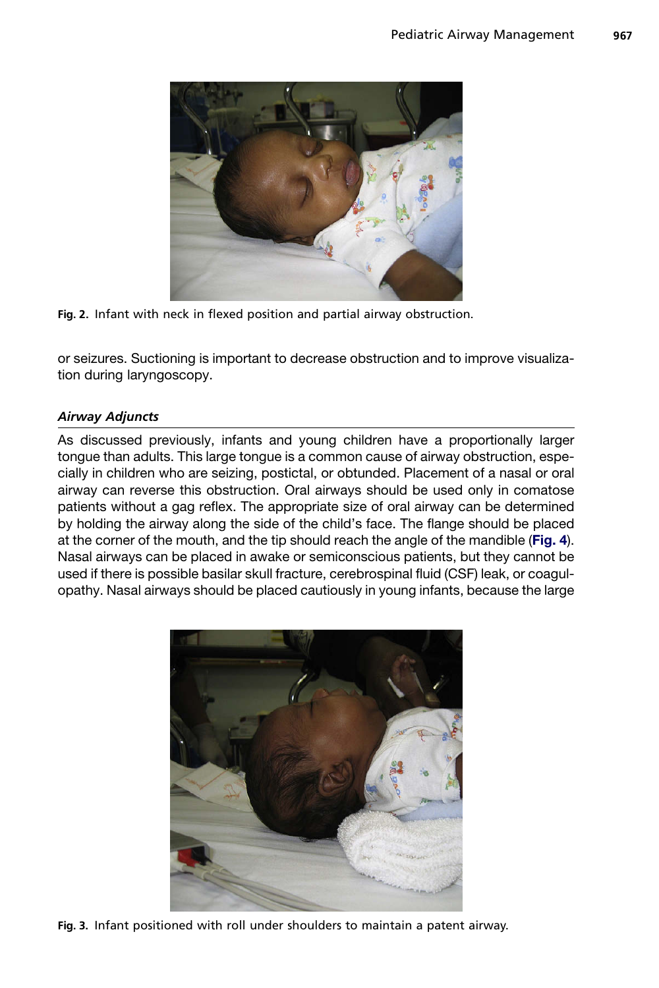<span id="page-6-0"></span>

Fig. 2. Infant with neck in flexed position and partial airway obstruction.

or seizures. Suctioning is important to decrease obstruction and to improve visualization during laryngoscopy.

## Airway Adjuncts

As discussed previously, infants and young children have a proportionally larger tongue than adults. This large tongue is a common cause of airway obstruction, especially in children who are seizing, postictal, or obtunded. Placement of a nasal or oral airway can reverse this obstruction. Oral airways should be used only in comatose patients without a gag reflex. The appropriate size of oral airway can be determined by holding the airway along the side of the child's face. The flange should be placed at the corner of the mouth, and the tip should reach the angle of the mandible ([Fig. 4](#page-7-0)). Nasal airways can be placed in awake or semiconscious patients, but they cannot be used if there is possible basilar skull fracture, cerebrospinal fluid (CSF) leak, or coagulopathy. Nasal airways should be placed cautiously in young infants, because the large



Fig. 3. Infant positioned with roll under shoulders to maintain a patent airway.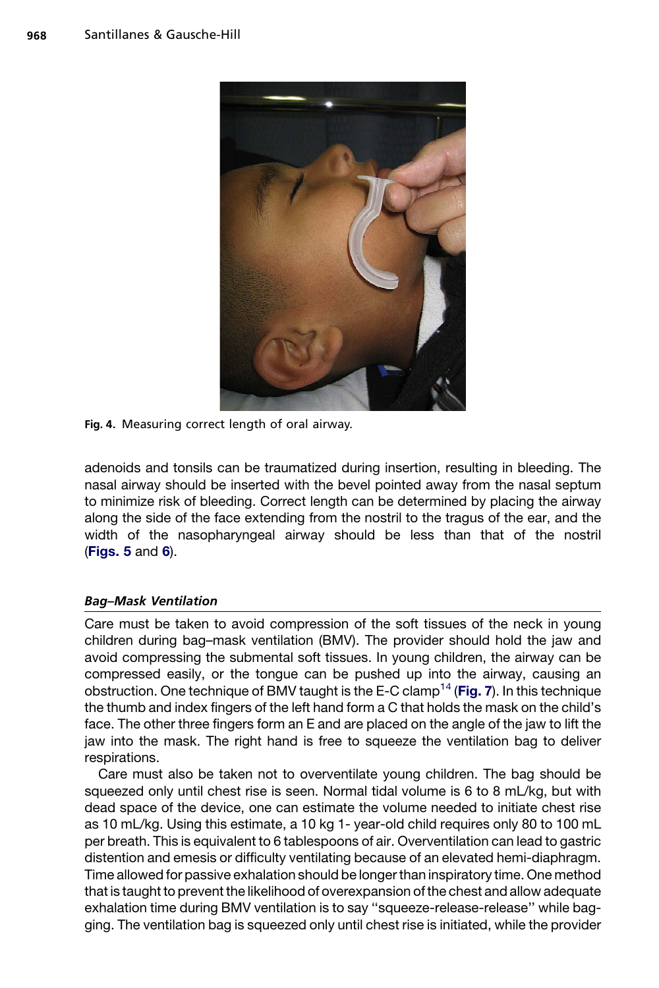<span id="page-7-0"></span>

Fig. 4. Measuring correct length of oral airway.

adenoids and tonsils can be traumatized during insertion, resulting in bleeding. The nasal airway should be inserted with the bevel pointed away from the nasal septum to minimize risk of bleeding. Correct length can be determined by placing the airway along the side of the face extending from the nostril to the tragus of the ear, and the width of the nasopharyngeal airway should be less than that of the nostril ([Figs. 5](#page-8-0) and [6](#page-8-0)).

## Bag–Mask Ventilation

Care must be taken to avoid compression of the soft tissues of the neck in young children during bag–mask ventilation (BMV). The provider should hold the jaw and avoid compressing the submental soft tissues. In young children, the airway can be compressed easily, or the tongue can be pushed up into the airway, causing an obstruction. One technique of BMV taught is the E-C clamp<sup>[14](#page-13-0)</sup> ([Fig. 7](#page-9-0)). In this technique the thumb and index fingers of the left hand form a C that holds the mask on the child's face. The other three fingers form an E and are placed on the angle of the jaw to lift the jaw into the mask. The right hand is free to squeeze the ventilation bag to deliver respirations.

Care must also be taken not to overventilate young children. The bag should be squeezed only until chest rise is seen. Normal tidal volume is 6 to 8 mL/kg, but with dead space of the device, one can estimate the volume needed to initiate chest rise as 10 mL/kg. Using this estimate, a 10 kg 1- year-old child requires only 80 to 100 mL per breath. This is equivalent to 6 tablespoons of air. Overventilation can lead to gastric distention and emesis or difficulty ventilating because of an elevated hemi-diaphragm. Time allowed for passive exhalation should be longer than inspiratory time. One method that is taught to prevent the likelihood of overexpansion of the chest and allow adequate exhalation time during BMV ventilation is to say ''squeeze-release-release'' while bagging. The ventilation bag is squeezed only until chest rise is initiated, while the provider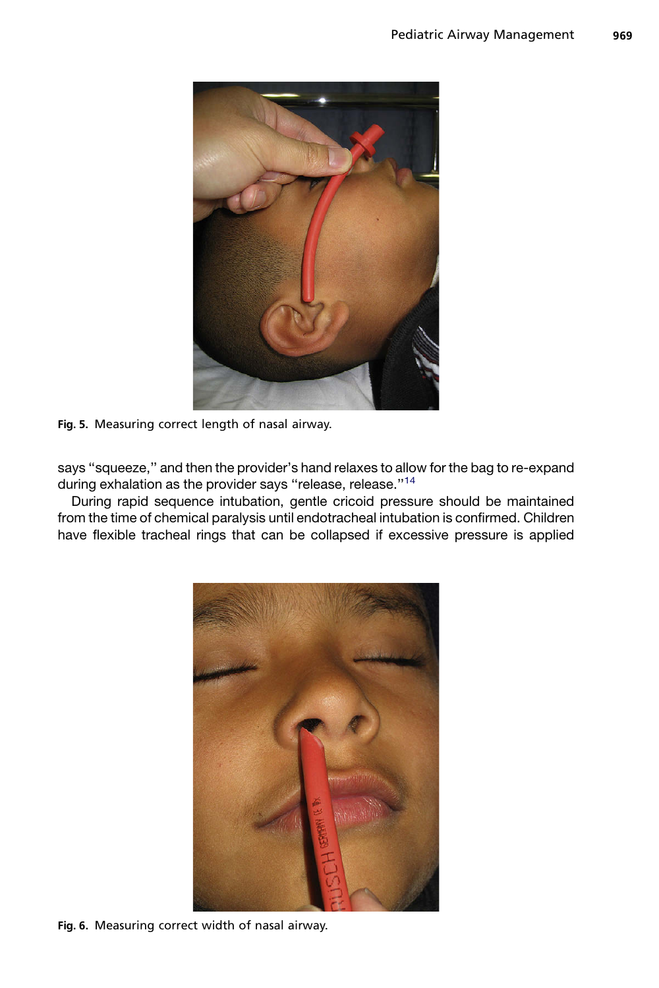<span id="page-8-0"></span>

Fig. 5. Measuring correct length of nasal airway.

says ''squeeze,'' and then the provider's hand relaxes to allow for the bag to re-expand during exhalation as the provider says "release, release."<sup>14</sup>

During rapid sequence intubation, gentle cricoid pressure should be maintained from the time of chemical paralysis until endotracheal intubation is confirmed. Children have flexible tracheal rings that can be collapsed if excessive pressure is applied



Fig. 6. Measuring correct width of nasal airway.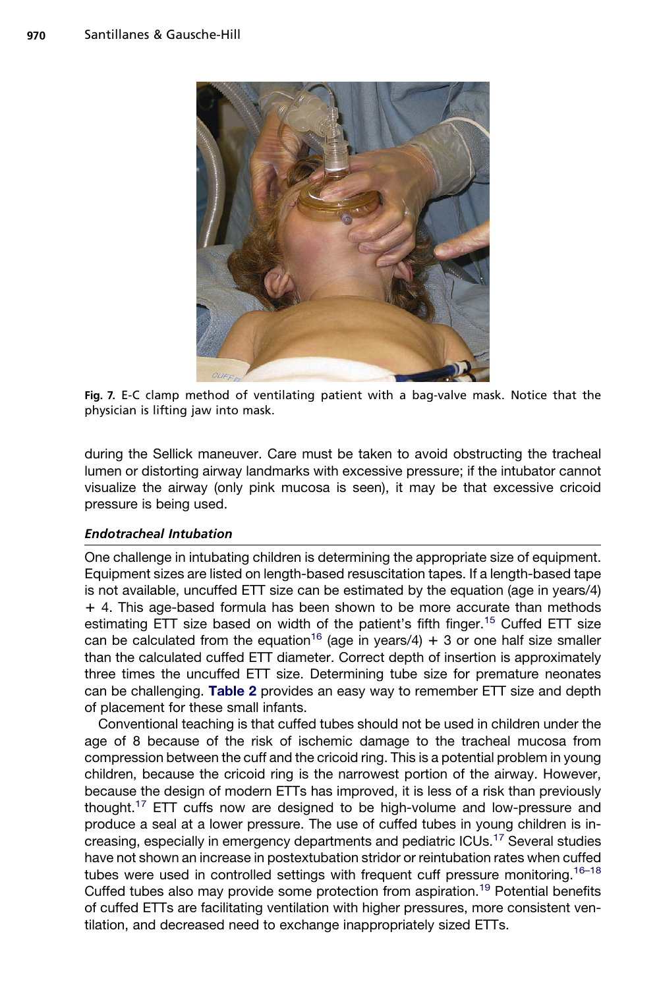<span id="page-9-0"></span>

Fig. 7. E-C clamp method of ventilating patient with a bag-valve mask. Notice that the physician is lifting jaw into mask.

during the Sellick maneuver. Care must be taken to avoid obstructing the tracheal lumen or distorting airway landmarks with excessive pressure; if the intubator cannot visualize the airway (only pink mucosa is seen), it may be that excessive cricoid pressure is being used.

## Endotracheal Intubation

One challenge in intubating children is determining the appropriate size of equipment. Equipment sizes are listed on length-based resuscitation tapes. If a length-based tape is not available, uncuffed ETT size can be estimated by the equation (age in years/4) 1 4. This age-based formula has been shown to be more accurate than methods estimating ETT size based on width of the patient's fifth finger.<sup>[15](#page-13-0)</sup> Cuffed ETT size can be calculated from the equation<sup>[16](#page-13-0)</sup> (age in years/4) + 3 or one half size smaller than the calculated cuffed ETT diameter. Correct depth of insertion is approximately three times the uncuffed ETT size. Determining tube size for premature neonates can be challenging. [Table 2](#page-10-0) provides an easy way to remember ETT size and depth of placement for these small infants.

Conventional teaching is that cuffed tubes should not be used in children under the age of 8 because of the risk of ischemic damage to the tracheal mucosa from compression between the cuff and the cricoid ring. This is a potential problem in young children, because the cricoid ring is the narrowest portion of the airway. However, because the design of modern ETTs has improved, it is less of a risk than previously thought.[17](#page-13-0) ETT cuffs now are designed to be high-volume and low-pressure and produce a seal at a lower pressure. The use of cuffed tubes in young children is increasing, especially in emergency departments and pediatric ICUs.[17](#page-13-0) Several studies have not shown an increase in postextubation stridor or reintubation rates when cuffed tubes were used in controlled settings with frequent cuff pressure monitoring.<sup>16-18</sup> Cuffed tubes also may provide some protection from aspiration.[19](#page-13-0) Potential benefits of cuffed ETTs are facilitating ventilation with higher pressures, more consistent ventilation, and decreased need to exchange inappropriately sized ETTs.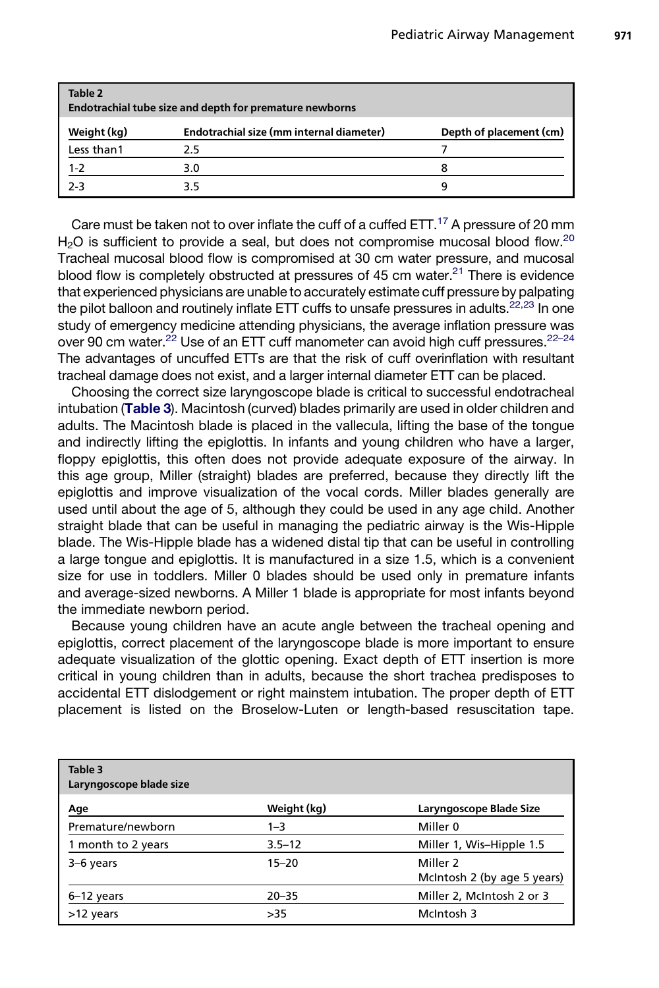<span id="page-10-0"></span>

| Table 2<br>Endotrachial tube size and depth for premature newborns |                                          |                         |  |  |  |
|--------------------------------------------------------------------|------------------------------------------|-------------------------|--|--|--|
| Weight (kg)                                                        | Endotrachial size (mm internal diameter) | Depth of placement (cm) |  |  |  |
| Less than1                                                         | 2.5                                      |                         |  |  |  |
| 1-2                                                                | 3.0                                      | 8                       |  |  |  |
| $2 - 3$                                                            | 3.5                                      | 9                       |  |  |  |

Care must be taken not to over inflate the cuff of a cuffed  $ETT$ .<sup>[17](#page-13-0)</sup> A pressure of 20 mm  $H<sub>2</sub>O$  is sufficient to provide a seal, but does not compromise mucosal blood flow.<sup>20</sup> Tracheal mucosal blood flow is compromised at 30 cm water pressure, and mucosal blood flow is completely obstructed at pressures of 45 cm water.<sup>[21](#page-13-0)</sup> There is evidence that experienced physicians are unable to accurately estimate cuff pressure by palpating the pilot balloon and routinely inflate ETT cuffs to unsafe pressures in adults.<sup>22,23</sup> In one study of emergency medicine attending physicians, the average inflation pressure was over 90 cm water.<sup>[22](#page-13-0)</sup> Use of an ETT cuff manometer can avoid high cuff pressures.<sup>[22–24](#page-13-0)</sup> The advantages of uncuffed ETTs are that the risk of cuff overinflation with resultant tracheal damage does not exist, and a larger internal diameter ETT can be placed.

Choosing the correct size laryngoscope blade is critical to successful endotracheal intubation (Table 3). Macintosh (curved) blades primarily are used in older children and adults. The Macintosh blade is placed in the vallecula, lifting the base of the tongue and indirectly lifting the epiglottis. In infants and young children who have a larger, floppy epiglottis, this often does not provide adequate exposure of the airway. In this age group, Miller (straight) blades are preferred, because they directly lift the epiglottis and improve visualization of the vocal cords. Miller blades generally are used until about the age of 5, although they could be used in any age child. Another straight blade that can be useful in managing the pediatric airway is the Wis-Hipple blade. The Wis-Hipple blade has a widened distal tip that can be useful in controlling a large tongue and epiglottis. It is manufactured in a size 1.5, which is a convenient size for use in toddlers. Miller 0 blades should be used only in premature infants and average-sized newborns. A Miller 1 blade is appropriate for most infants beyond the immediate newborn period.

Because young children have an acute angle between the tracheal opening and epiglottis, correct placement of the laryngoscope blade is more important to ensure adequate visualization of the glottic opening. Exact depth of ETT insertion is more critical in young children than in adults, because the short trachea predisposes to accidental ETT dislodgement or right mainstem intubation. The proper depth of ETT placement is listed on the Broselow-Luten or length-based resuscitation tape.

| Table 3<br>Laryngoscope blade size |             |                                         |
|------------------------------------|-------------|-----------------------------------------|
| Age                                | Weight (kg) | Laryngoscope Blade Size                 |
| Premature/newborn                  | $1 - 3$     | Miller 0                                |
| 1 month to 2 years                 | $3.5 - 12$  | Miller 1, Wis-Hipple 1.5                |
| 3-6 years                          | $15 - 20$   | Miller 2<br>McIntosh 2 (by age 5 years) |
| $6-12$ years                       | $20 - 35$   | Miller 2, McIntosh 2 or 3               |
| >12 years                          | >35         | McIntosh 3                              |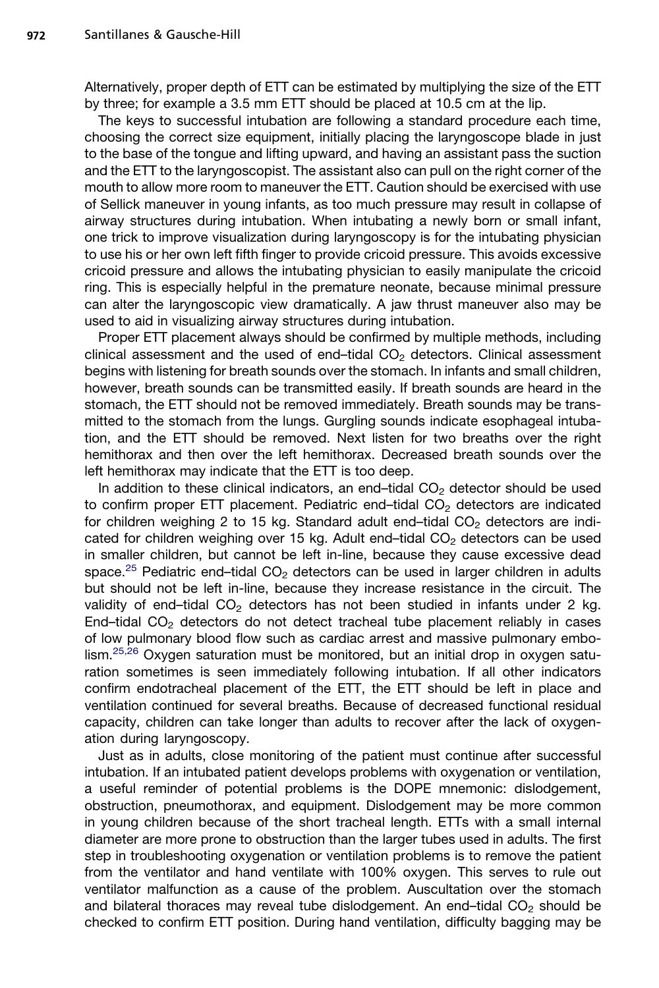Alternatively, proper depth of ETT can be estimated by multiplying the size of the ETT by three; for example a 3.5 mm ETT should be placed at 10.5 cm at the lip.

The keys to successful intubation are following a standard procedure each time, choosing the correct size equipment, initially placing the laryngoscope blade in just to the base of the tongue and lifting upward, and having an assistant pass the suction and the ETT to the laryngoscopist. The assistant also can pull on the right corner of the mouth to allow more room to maneuver the ETT. Caution should be exercised with use of Sellick maneuver in young infants, as too much pressure may result in collapse of airway structures during intubation. When intubating a newly born or small infant, one trick to improve visualization during laryngoscopy is for the intubating physician to use his or her own left fifth finger to provide cricoid pressure. This avoids excessive cricoid pressure and allows the intubating physician to easily manipulate the cricoid ring. This is especially helpful in the premature neonate, because minimal pressure can alter the laryngoscopic view dramatically. A jaw thrust maneuver also may be used to aid in visualizing airway structures during intubation.

Proper ETT placement always should be confirmed by multiple methods, including clinical assessment and the used of end-tidal  $CO<sub>2</sub>$  detectors. Clinical assessment begins with listening for breath sounds over the stomach. In infants and small children, however, breath sounds can be transmitted easily. If breath sounds are heard in the stomach, the ETT should not be removed immediately. Breath sounds may be transmitted to the stomach from the lungs. Gurgling sounds indicate esophageal intubation, and the ETT should be removed. Next listen for two breaths over the right hemithorax and then over the left hemithorax. Decreased breath sounds over the left hemithorax may indicate that the ETT is too deep.

In addition to these clinical indicators, an end–tidal  $CO<sub>2</sub>$  detector should be used to confirm proper ETT placement. Pediatric end–tidal  $CO<sub>2</sub>$  detectors are indicated for children weighing 2 to 15 kg. Standard adult end-tidal  $CO<sub>2</sub>$  detectors are indicated for children weighing over 15 kg. Adult end–tidal  $CO<sub>2</sub>$  detectors can be used in smaller children, but cannot be left in-line, because they cause excessive dead space.<sup>[25](#page-14-0)</sup> Pediatric end–tidal CO<sub>2</sub> detectors can be used in larger children in adults but should not be left in-line, because they increase resistance in the circuit. The validity of end–tidal  $CO<sub>2</sub>$  detectors has not been studied in infants under 2 kg. End-tidal CO<sub>2</sub> detectors do not detect tracheal tube placement reliably in cases of low pulmonary blood flow such as cardiac arrest and massive pulmonary embolism.[25,26](#page-14-0) Oxygen saturation must be monitored, but an initial drop in oxygen saturation sometimes is seen immediately following intubation. If all other indicators confirm endotracheal placement of the ETT, the ETT should be left in place and ventilation continued for several breaths. Because of decreased functional residual capacity, children can take longer than adults to recover after the lack of oxygenation during laryngoscopy.

Just as in adults, close monitoring of the patient must continue after successful intubation. If an intubated patient develops problems with oxygenation or ventilation, a useful reminder of potential problems is the DOPE mnemonic: dislodgement, obstruction, pneumothorax, and equipment. Dislodgement may be more common in young children because of the short tracheal length. ETTs with a small internal diameter are more prone to obstruction than the larger tubes used in adults. The first step in troubleshooting oxygenation or ventilation problems is to remove the patient from the ventilator and hand ventilate with 100% oxygen. This serves to rule out ventilator malfunction as a cause of the problem. Auscultation over the stomach and bilateral thoraces may reveal tube dislodgement. An end-tidal  $CO<sub>2</sub>$  should be checked to confirm ETT position. During hand ventilation, difficulty bagging may be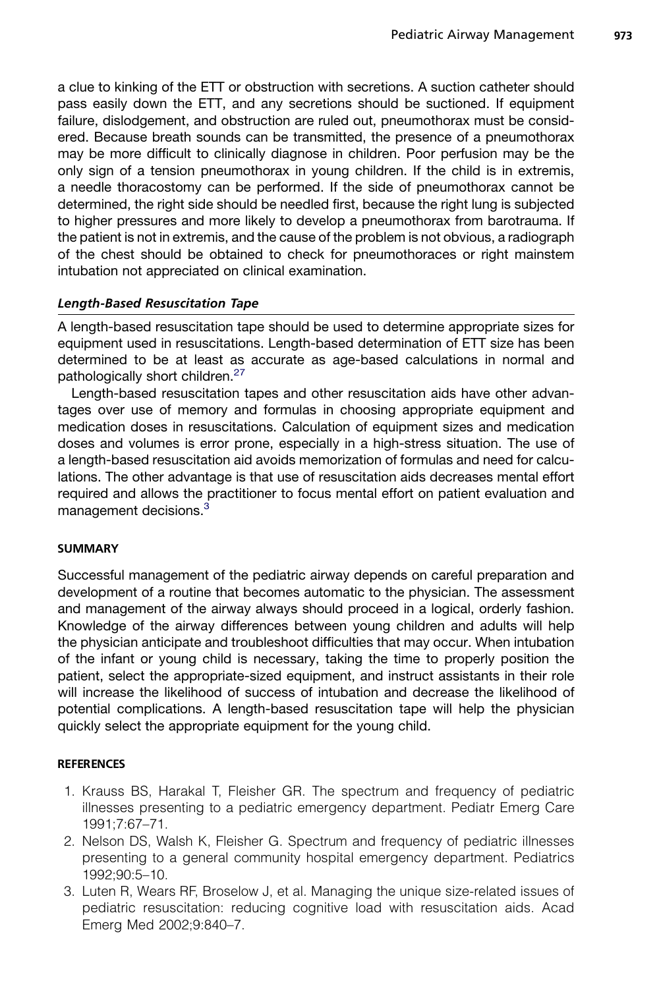<span id="page-12-0"></span>a clue to kinking of the ETT or obstruction with secretions. A suction catheter should pass easily down the ETT, and any secretions should be suctioned. If equipment failure, dislodgement, and obstruction are ruled out, pneumothorax must be considered. Because breath sounds can be transmitted, the presence of a pneumothorax may be more difficult to clinically diagnose in children. Poor perfusion may be the only sign of a tension pneumothorax in young children. If the child is in extremis, a needle thoracostomy can be performed. If the side of pneumothorax cannot be determined, the right side should be needled first, because the right lung is subjected to higher pressures and more likely to develop a pneumothorax from barotrauma. If the patient is not in extremis, and the cause of the problem is not obvious, a radiograph of the chest should be obtained to check for pneumothoraces or right mainstem intubation not appreciated on clinical examination.

# Length-Based Resuscitation Tape

A length-based resuscitation tape should be used to determine appropriate sizes for equipment used in resuscitations. Length-based determination of ETT size has been determined to be at least as accurate as age-based calculations in normal and pathologically short children.<sup>[27](#page-14-0)</sup>

Length-based resuscitation tapes and other resuscitation aids have other advantages over use of memory and formulas in choosing appropriate equipment and medication doses in resuscitations. Calculation of equipment sizes and medication doses and volumes is error prone, especially in a high-stress situation. The use of a length-based resuscitation aid avoids memorization of formulas and need for calculations. The other advantage is that use of resuscitation aids decreases mental effort required and allows the practitioner to focus mental effort on patient evaluation and management decisions.<sup>3</sup>

## SUMMARY

Successful management of the pediatric airway depends on careful preparation and development of a routine that becomes automatic to the physician. The assessment and management of the airway always should proceed in a logical, orderly fashion. Knowledge of the airway differences between young children and adults will help the physician anticipate and troubleshoot difficulties that may occur. When intubation of the infant or young child is necessary, taking the time to properly position the patient, select the appropriate-sized equipment, and instruct assistants in their role will increase the likelihood of success of intubation and decrease the likelihood of potential complications. A length-based resuscitation tape will help the physician quickly select the appropriate equipment for the young child.

## **REFERENCES**

- 1. Krauss BS, Harakal T, Fleisher GR. The spectrum and frequency of pediatric illnesses presenting to a pediatric emergency department. Pediatr Emerg Care 1991;7:67–71.
- 2. Nelson DS, Walsh K, Fleisher G. Spectrum and frequency of pediatric illnesses presenting to a general community hospital emergency department. Pediatrics 1992;90:5–10.
- 3. Luten R, Wears RF, Broselow J, et al. Managing the unique size-related issues of pediatric resuscitation: reducing cognitive load with resuscitation aids. Acad Emerg Med 2002;9:840–7.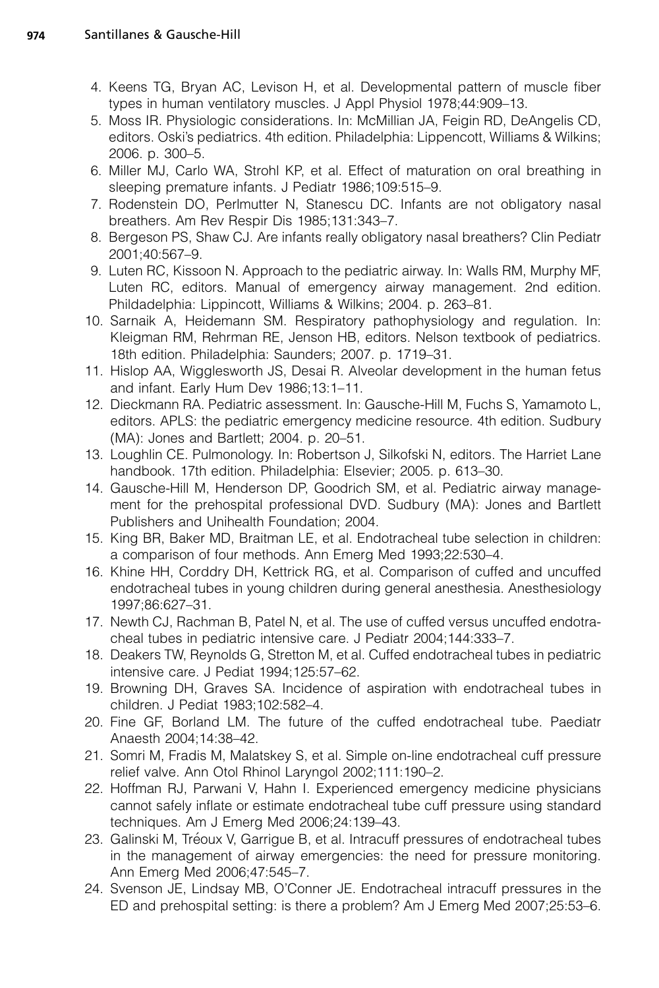- <span id="page-13-0"></span>4. Keens TG, Bryan AC, Levison H, et al. Developmental pattern of muscle fiber types in human ventilatory muscles. J Appl Physiol 1978;44:909–13.
- 5. Moss IR. Physiologic considerations. In: McMillian JA, Feigin RD, DeAngelis CD, editors. Oski's pediatrics. 4th edition. Philadelphia: Lippencott, Williams & Wilkins; 2006. p. 300–5.
- 6. Miller MJ, Carlo WA, Strohl KP, et al. Effect of maturation on oral breathing in sleeping premature infants. J Pediatr 1986;109:515-9.
- 7. Rodenstein DO, Perlmutter N, Stanescu DC. Infants are not obligatory nasal breathers. Am Rev Respir Dis 1985;131:343–7.
- 8. Bergeson PS, Shaw CJ. Are infants really obligatory nasal breathers? Clin Pediatr 2001;40:567–9.
- 9. Luten RC, Kissoon N. Approach to the pediatric airway. In: Walls RM, Murphy MF, Luten RC, editors. Manual of emergency airway management. 2nd edition. Phildadelphia: Lippincott, Williams & Wilkins; 2004. p. 263–81.
- 10. Sarnaik A, Heidemann SM. Respiratory pathophysiology and regulation. In: Kleigman RM, Rehrman RE, Jenson HB, editors. Nelson textbook of pediatrics. 18th edition. Philadelphia: Saunders; 2007. p. 1719–31.
- 11. Hislop AA, Wigglesworth JS, Desai R. Alveolar development in the human fetus and infant. Early Hum Dev 1986;13:1–11.
- 12. Dieckmann RA. Pediatric assessment. In: Gausche-Hill M, Fuchs S, Yamamoto L, editors. APLS: the pediatric emergency medicine resource. 4th edition. Sudbury (MA): Jones and Bartlett; 2004. p. 20–51.
- 13. Loughlin CE. Pulmonology. In: Robertson J, Silkofski N, editors. The Harriet Lane handbook. 17th edition. Philadelphia: Elsevier; 2005. p. 613–30.
- 14. Gausche-Hill M, Henderson DP, Goodrich SM, et al. Pediatric airway management for the prehospital professional DVD. Sudbury (MA): Jones and Bartlett Publishers and Unihealth Foundation; 2004.
- 15. King BR, Baker MD, Braitman LE, et al. Endotracheal tube selection in children: a comparison of four methods. Ann Emerg Med 1993;22:530–4.
- 16. Khine HH, Corddry DH, Kettrick RG, et al. Comparison of cuffed and uncuffed endotracheal tubes in young children during general anesthesia. Anesthesiology 1997;86:627–31.
- 17. Newth CJ, Rachman B, Patel N, et al. The use of cuffed versus uncuffed endotracheal tubes in pediatric intensive care. J Pediatr 2004;144:333–7.
- 18. Deakers TW, Reynolds G, Stretton M, et al. Cuffed endotracheal tubes in pediatric intensive care. J Pediat 1994;125:57–62.
- 19. Browning DH, Graves SA. Incidence of aspiration with endotracheal tubes in children. J Pediat 1983;102:582–4.
- 20. Fine GF, Borland LM. The future of the cuffed endotracheal tube. Paediatr Anaesth 2004;14:38–42.
- 21. Somri M, Fradis M, Malatskey S, et al. Simple on-line endotracheal cuff pressure relief valve. Ann Otol Rhinol Laryngol 2002;111:190–2.
- 22. Hoffman RJ, Parwani V, Hahn I. Experienced emergency medicine physicians cannot safely inflate or estimate endotracheal tube cuff pressure using standard techniques. Am J Emerg Med 2006;24:139–43.
- 23. Galinski M, Tréoux V, Garrigue B, et al. Intracuff pressures of endotracheal tubes in the management of airway emergencies: the need for pressure monitoring. Ann Emerg Med 2006;47:545–7.
- 24. Svenson JE, Lindsay MB, O'Conner JE. Endotracheal intracuff pressures in the ED and prehospital setting: is there a problem? Am J Emerg Med 2007;25:53–6.